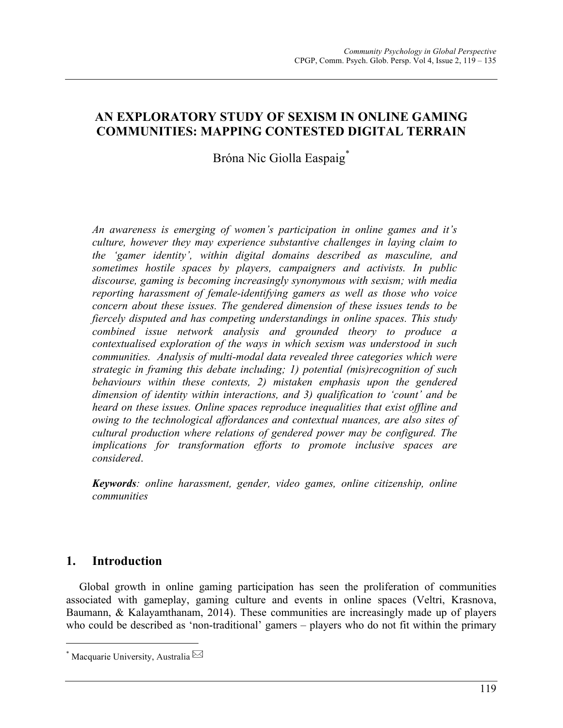# **AN EXPLORATORY STUDY OF SEXISM IN ONLINE GAMING COMMUNITIES: MAPPING CONTESTED DIGITAL TERRAIN**

# Bróna Nic Giolla Easpaig<sup>\*</sup>

*An awareness is emerging of women's participation in online games and it's culture, however they may experience substantive challenges in laying claim to the 'gamer identity', within digital domains described as masculine, and sometimes hostile spaces by players, campaigners and activists. In public discourse, gaming is becoming increasingly synonymous with sexism; with media reporting harassment of female-identifying gamers as well as those who voice concern about these issues. The gendered dimension of these issues tends to be fiercely disputed and has competing understandings in online spaces. This study combined issue network analysis and grounded theory to produce a contextualised exploration of the ways in which sexism was understood in such communities. Analysis of multi-modal data revealed three categories which were strategic in framing this debate including; 1) potential (mis)recognition of such behaviours within these contexts, 2) mistaken emphasis upon the gendered dimension of identity within interactions, and 3) qualification to 'count' and be heard on these issues. Online spaces reproduce inequalities that exist offline and owing to the technological affordances and contextual nuances, are also sites of cultural production where relations of gendered power may be configured. The implications for transformation efforts to promote inclusive spaces are considered*.

*Keywords: online harassment, gender, video games, online citizenship, online communities*

# **1. Introduction**

Global growth in online gaming participation has seen the proliferation of communities associated with gameplay, gaming culture and events in online spaces (Veltri, Krasnova, Baumann, & Kalayamthanam, 2014). These communities are increasingly made up of players who could be described as 'non-traditional' gamers – players who do not fit within the primary

  $^*$  Macquarie University, Australia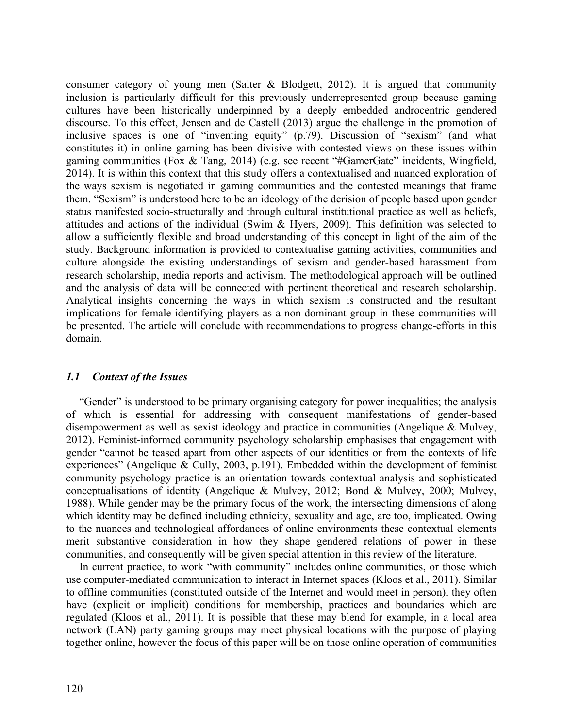consumer category of young men (Salter & Blodgett, 2012). It is argued that community inclusion is particularly difficult for this previously underrepresented group because gaming cultures have been historically underpinned by a deeply embedded androcentric gendered discourse. To this effect, Jensen and de Castell (2013) argue the challenge in the promotion of inclusive spaces is one of "inventing equity" (p.79). Discussion of "sexism" (and what constitutes it) in online gaming has been divisive with contested views on these issues within gaming communities (Fox & Tang, 2014) (e.g. see recent "#GamerGate" incidents, Wingfield, 2014). It is within this context that this study offers a contextualised and nuanced exploration of the ways sexism is negotiated in gaming communities and the contested meanings that frame them. "Sexism" is understood here to be an ideology of the derision of people based upon gender status manifested socio-structurally and through cultural institutional practice as well as beliefs, attitudes and actions of the individual (Swim & Hyers, 2009). This definition was selected to allow a sufficiently flexible and broad understanding of this concept in light of the aim of the study. Background information is provided to contextualise gaming activities, communities and culture alongside the existing understandings of sexism and gender-based harassment from research scholarship, media reports and activism. The methodological approach will be outlined and the analysis of data will be connected with pertinent theoretical and research scholarship. Analytical insights concerning the ways in which sexism is constructed and the resultant implications for female-identifying players as a non-dominant group in these communities will be presented. The article will conclude with recommendations to progress change-efforts in this domain.

## *1.1 Context of the Issues*

"Gender" is understood to be primary organising category for power inequalities; the analysis of which is essential for addressing with consequent manifestations of gender-based disempowerment as well as sexist ideology and practice in communities (Angelique & Mulvey, 2012). Feminist-informed community psychology scholarship emphasises that engagement with gender "cannot be teased apart from other aspects of our identities or from the contexts of life experiences" (Angelique & Cully, 2003, p.191). Embedded within the development of feminist community psychology practice is an orientation towards contextual analysis and sophisticated conceptualisations of identity (Angelique & Mulvey, 2012; Bond & Mulvey, 2000; Mulvey, 1988). While gender may be the primary focus of the work, the intersecting dimensions of along which identity may be defined including ethnicity, sexuality and age, are too, implicated. Owing to the nuances and technological affordances of online environments these contextual elements merit substantive consideration in how they shape gendered relations of power in these communities, and consequently will be given special attention in this review of the literature.

In current practice, to work "with community" includes online communities, or those which use computer-mediated communication to interact in Internet spaces (Kloos et al., 2011). Similar to offline communities (constituted outside of the Internet and would meet in person), they often have (explicit or implicit) conditions for membership, practices and boundaries which are regulated (Kloos et al., 2011). It is possible that these may blend for example, in a local area network (LAN) party gaming groups may meet physical locations with the purpose of playing together online, however the focus of this paper will be on those online operation of communities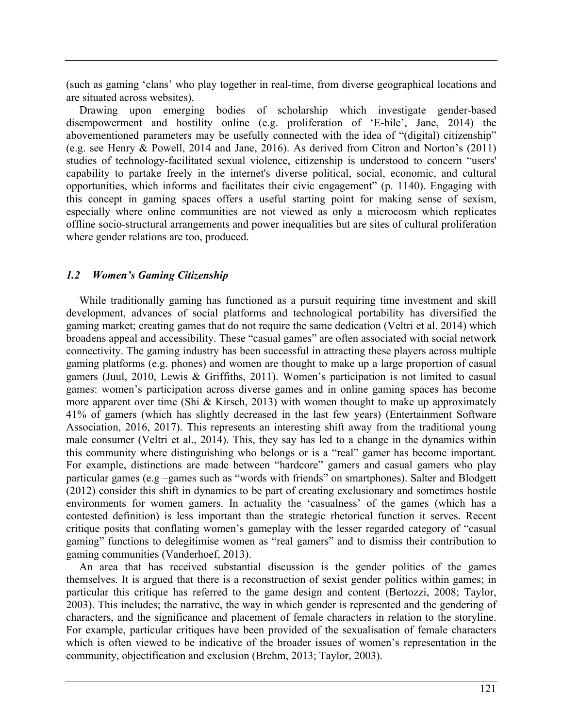(such as gaming 'clans' who play together in real-time, from diverse geographical locations and are situated across websites).

Drawing upon emerging bodies of scholarship which investigate gender-based disempowerment and hostility online (e.g. proliferation of 'E-bile', Jane, 2014) the abovementioned parameters may be usefully connected with the idea of "(digital) citizenship" (e.g. see Henry & Powell, 2014 and Jane, 2016). As derived from Citron and Norton's (2011) studies of technology-facilitated sexual violence, citizenship is understood to concern "users' capability to partake freely in the internet's diverse political, social, economic, and cultural opportunities, which informs and facilitates their civic engagement" (p. 1140). Engaging with this concept in gaming spaces offers a useful starting point for making sense of sexism, especially where online communities are not viewed as only a microcosm which replicates offline socio-structural arrangements and power inequalities but are sites of cultural proliferation where gender relations are too, produced.

## *1.2 Women's Gaming Citizenship*

While traditionally gaming has functioned as a pursuit requiring time investment and skill development, advances of social platforms and technological portability has diversified the gaming market; creating games that do not require the same dedication (Veltri et al. 2014) which broadens appeal and accessibility. These "casual games" are often associated with social network connectivity. The gaming industry has been successful in attracting these players across multiple gaming platforms (e.g. phones) and women are thought to make up a large proportion of casual gamers (Juul, 2010, Lewis & Griffiths, 2011). Women's participation is not limited to casual games: women's participation across diverse games and in online gaming spaces has become more apparent over time (Shi & Kirsch, 2013) with women thought to make up approximately 41% of gamers (which has slightly decreased in the last few years) (Entertainment Software Association, 2016, 2017). This represents an interesting shift away from the traditional young male consumer (Veltri et al., 2014). This, they say has led to a change in the dynamics within this community where distinguishing who belongs or is a "real" gamer has become important. For example, distinctions are made between "hardcore" gamers and casual gamers who play particular games (e.g –games such as "words with friends" on smartphones). Salter and Blodgett (2012) consider this shift in dynamics to be part of creating exclusionary and sometimes hostile environments for women gamers. In actuality the 'casualness' of the games (which has a contested definition) is less important than the strategic rhetorical function it serves. Recent critique posits that conflating women's gameplay with the lesser regarded category of "casual gaming" functions to delegitimise women as "real gamers" and to dismiss their contribution to gaming communities (Vanderhoef, 2013).

An area that has received substantial discussion is the gender politics of the games themselves. It is argued that there is a reconstruction of sexist gender politics within games; in particular this critique has referred to the game design and content (Bertozzi, 2008; Taylor, 2003). This includes; the narrative, the way in which gender is represented and the gendering of characters, and the significance and placement of female characters in relation to the storyline. For example, particular critiques have been provided of the sexualisation of female characters which is often viewed to be indicative of the broader issues of women's representation in the community, objectification and exclusion (Brehm, 2013; Taylor, 2003).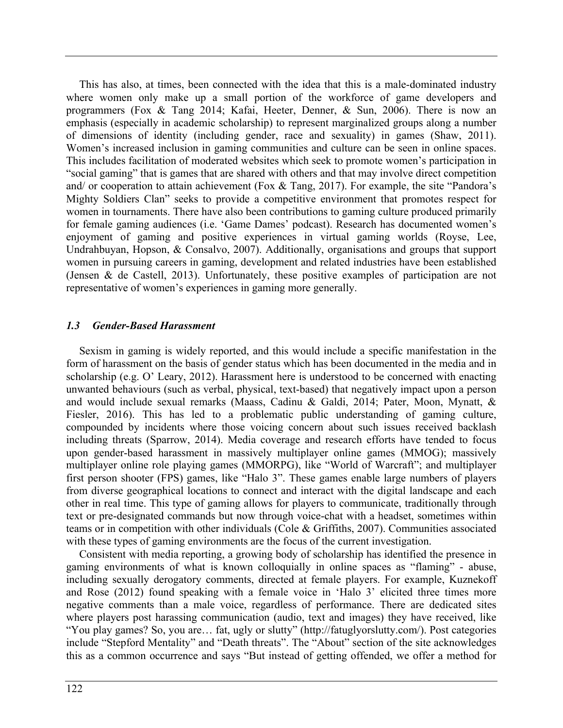This has also, at times, been connected with the idea that this is a male-dominated industry where women only make up a small portion of the workforce of game developers and programmers (Fox & Tang 2014; Kafai, Heeter, Denner, & Sun, 2006). There is now an emphasis (especially in academic scholarship) to represent marginalized groups along a number of dimensions of identity (including gender, race and sexuality) in games (Shaw, 2011). Women's increased inclusion in gaming communities and culture can be seen in online spaces. This includes facilitation of moderated websites which seek to promote women's participation in "social gaming" that is games that are shared with others and that may involve direct competition and/ or cooperation to attain achievement (Fox & Tang, 2017). For example, the site "Pandora's Mighty Soldiers Clan" seeks to provide a competitive environment that promotes respect for women in tournaments. There have also been contributions to gaming culture produced primarily for female gaming audiences (i.e. 'Game Dames' podcast). Research has documented women's enjoyment of gaming and positive experiences in virtual gaming worlds (Royse, Lee, Undrahbuyan, Hopson, & Consalvo, 2007). Additionally, organisations and groups that support women in pursuing careers in gaming, development and related industries have been established (Jensen & de Castell, 2013). Unfortunately, these positive examples of participation are not representative of women's experiences in gaming more generally.

#### *1.3 Gender-Based Harassment*

Sexism in gaming is widely reported, and this would include a specific manifestation in the form of harassment on the basis of gender status which has been documented in the media and in scholarship (e.g. O' Leary, 2012). Harassment here is understood to be concerned with enacting unwanted behaviours (such as verbal, physical, text-based) that negatively impact upon a person and would include sexual remarks (Maass, Cadinu & Galdi, 2014; Pater, Moon, Mynatt, & Fiesler, 2016). This has led to a problematic public understanding of gaming culture, compounded by incidents where those voicing concern about such issues received backlash including threats (Sparrow, 2014). Media coverage and research efforts have tended to focus upon gender-based harassment in massively multiplayer online games (MMOG); massively multiplayer online role playing games (MMORPG), like "World of Warcraft"; and multiplayer first person shooter (FPS) games, like "Halo 3". These games enable large numbers of players from diverse geographical locations to connect and interact with the digital landscape and each other in real time. This type of gaming allows for players to communicate, traditionally through text or pre-designated commands but now through voice-chat with a headset, sometimes within teams or in competition with other individuals (Cole & Griffiths, 2007). Communities associated with these types of gaming environments are the focus of the current investigation.

Consistent with media reporting, a growing body of scholarship has identified the presence in gaming environments of what is known colloquially in online spaces as "flaming" - abuse, including sexually derogatory comments, directed at female players. For example, Kuznekoff and Rose (2012) found speaking with a female voice in 'Halo 3' elicited three times more negative comments than a male voice, regardless of performance. There are dedicated sites where players post harassing communication (audio, text and images) they have received, like "You play games? So, you are… fat, ugly or slutty" (http://fatuglyorslutty.com/). Post categories include "Stepford Mentality" and "Death threats". The "About" section of the site acknowledges this as a common occurrence and says "But instead of getting offended, we offer a method for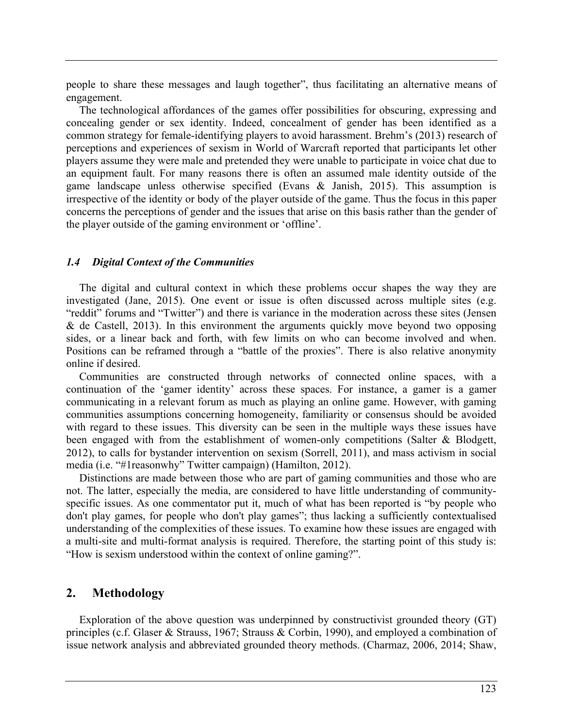people to share these messages and laugh together", thus facilitating an alternative means of engagement.

The technological affordances of the games offer possibilities for obscuring, expressing and concealing gender or sex identity. Indeed, concealment of gender has been identified as a common strategy for female-identifying players to avoid harassment. Brehm's (2013) research of perceptions and experiences of sexism in World of Warcraft reported that participants let other players assume they were male and pretended they were unable to participate in voice chat due to an equipment fault. For many reasons there is often an assumed male identity outside of the game landscape unless otherwise specified (Evans & Janish, 2015). This assumption is irrespective of the identity or body of the player outside of the game. Thus the focus in this paper concerns the perceptions of gender and the issues that arise on this basis rather than the gender of the player outside of the gaming environment or 'offline'.

#### *1.4 Digital Context of the Communities*

The digital and cultural context in which these problems occur shapes the way they are investigated (Jane, 2015). One event or issue is often discussed across multiple sites (e.g. "reddit" forums and "Twitter") and there is variance in the moderation across these sites (Jensen & de Castell, 2013). In this environment the arguments quickly move beyond two opposing sides, or a linear back and forth, with few limits on who can become involved and when. Positions can be reframed through a "battle of the proxies". There is also relative anonymity online if desired.

Communities are constructed through networks of connected online spaces, with a continuation of the 'gamer identity' across these spaces. For instance, a gamer is a gamer communicating in a relevant forum as much as playing an online game. However, with gaming communities assumptions concerning homogeneity, familiarity or consensus should be avoided with regard to these issues. This diversity can be seen in the multiple ways these issues have been engaged with from the establishment of women-only competitions (Salter & Blodgett, 2012), to calls for bystander intervention on sexism (Sorrell, 2011), and mass activism in social media (i.e. "#1reasonwhy" Twitter campaign) (Hamilton, 2012).

Distinctions are made between those who are part of gaming communities and those who are not. The latter, especially the media, are considered to have little understanding of communityspecific issues. As one commentator put it, much of what has been reported is "by people who don't play games, for people who don't play games"; thus lacking a sufficiently contextualised understanding of the complexities of these issues. To examine how these issues are engaged with a multi-site and multi-format analysis is required. Therefore, the starting point of this study is: "How is sexism understood within the context of online gaming?".

## **2. Methodology**

Exploration of the above question was underpinned by constructivist grounded theory (GT) principles (c.f. Glaser & Strauss, 1967; Strauss & Corbin, 1990), and employed a combination of issue network analysis and abbreviated grounded theory methods. (Charmaz, 2006, 2014; Shaw,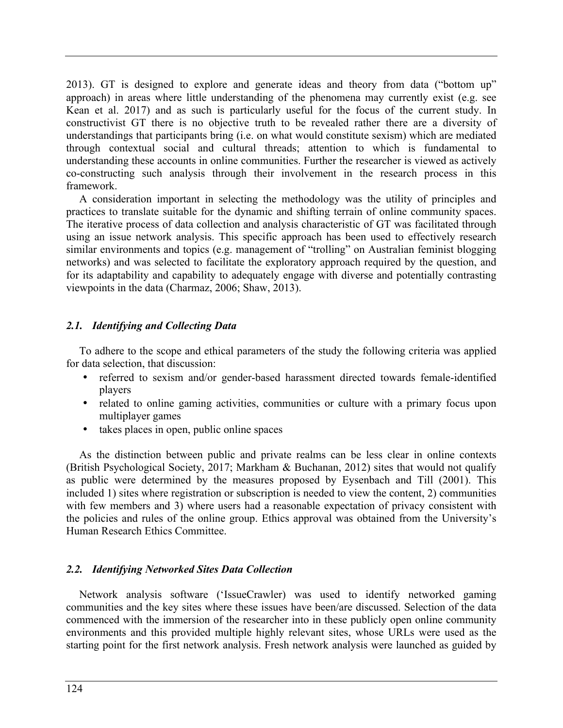2013). GT is designed to explore and generate ideas and theory from data ("bottom up" approach) in areas where little understanding of the phenomena may currently exist (e.g. see Kean et al. 2017) and as such is particularly useful for the focus of the current study. In constructivist GT there is no objective truth to be revealed rather there are a diversity of understandings that participants bring (i.e. on what would constitute sexism) which are mediated through contextual social and cultural threads; attention to which is fundamental to understanding these accounts in online communities. Further the researcher is viewed as actively co-constructing such analysis through their involvement in the research process in this framework.

A consideration important in selecting the methodology was the utility of principles and practices to translate suitable for the dynamic and shifting terrain of online community spaces. The iterative process of data collection and analysis characteristic of GT was facilitated through using an issue network analysis. This specific approach has been used to effectively research similar environments and topics (e.g. management of "trolling" on Australian feminist blogging networks) and was selected to facilitate the exploratory approach required by the question, and for its adaptability and capability to adequately engage with diverse and potentially contrasting viewpoints in the data (Charmaz, 2006; Shaw, 2013).

## *2.1. Identifying and Collecting Data*

To adhere to the scope and ethical parameters of the study the following criteria was applied for data selection, that discussion:

- referred to sexism and/or gender-based harassment directed towards female-identified players
- related to online gaming activities, communities or culture with a primary focus upon multiplayer games
- takes places in open, public online spaces

As the distinction between public and private realms can be less clear in online contexts (British Psychological Society, 2017; Markham & Buchanan, 2012) sites that would not qualify as public were determined by the measures proposed by Eysenbach and Till (2001). This included 1) sites where registration or subscription is needed to view the content, 2) communities with few members and 3) where users had a reasonable expectation of privacy consistent with the policies and rules of the online group. Ethics approval was obtained from the University's Human Research Ethics Committee.

## *2.2. Identifying Networked Sites Data Collection*

Network analysis software ('IssueCrawler) was used to identify networked gaming communities and the key sites where these issues have been/are discussed. Selection of the data commenced with the immersion of the researcher into in these publicly open online community environments and this provided multiple highly relevant sites, whose URLs were used as the starting point for the first network analysis. Fresh network analysis were launched as guided by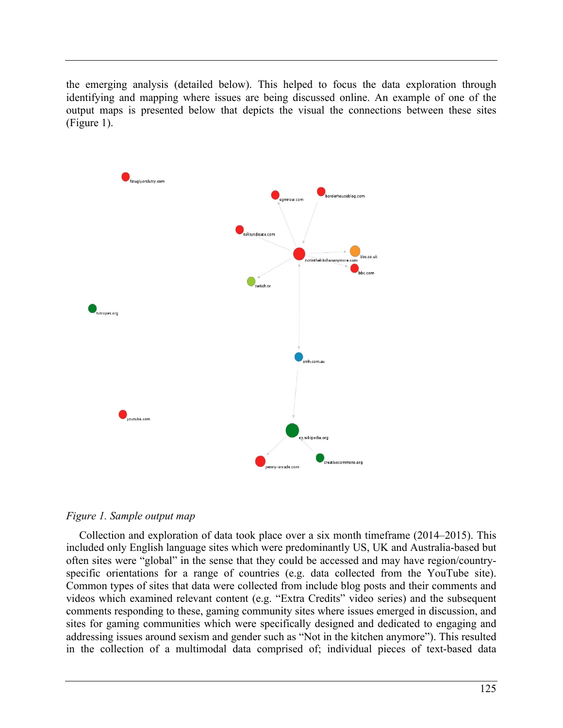the emerging analysis (detailed below). This helped to focus the data exploration through identifying and mapping where issues are being discussed online. An example of one of the output maps is presented below that depicts the visual the connections between these sites (Figure 1).





Collection and exploration of data took place over a six month timeframe (2014–2015). This included only English language sites which were predominantly US, UK and Australia-based but often sites were "global" in the sense that they could be accessed and may have region/countryspecific orientations for a range of countries (e.g. data collected from the YouTube site). Common types of sites that data were collected from include blog posts and their comments and videos which examined relevant content (e.g. "Extra Credits" video series) and the subsequent comments responding to these, gaming community sites where issues emerged in discussion, and sites for gaming communities which were specifically designed and dedicated to engaging and addressing issues around sexism and gender such as "Not in the kitchen anymore"). This resulted in the collection of a multimodal data comprised of; individual pieces of text-based data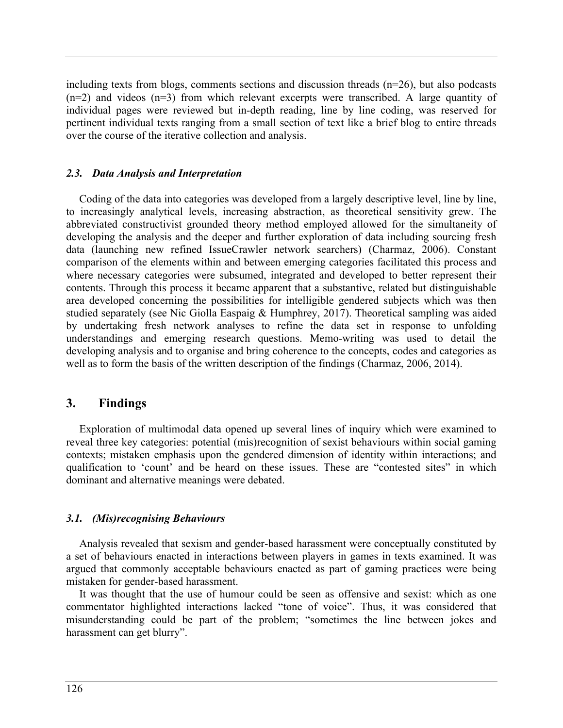including texts from blogs, comments sections and discussion threads (n=26), but also podcasts  $(n=2)$  and videos  $(n=3)$  from which relevant excerpts were transcribed. A large quantity of individual pages were reviewed but in-depth reading, line by line coding, was reserved for pertinent individual texts ranging from a small section of text like a brief blog to entire threads over the course of the iterative collection and analysis.

#### *2.3. Data Analysis and Interpretation*

Coding of the data into categories was developed from a largely descriptive level, line by line, to increasingly analytical levels, increasing abstraction, as theoretical sensitivity grew. The abbreviated constructivist grounded theory method employed allowed for the simultaneity of developing the analysis and the deeper and further exploration of data including sourcing fresh data (launching new refined IssueCrawler network searchers) (Charmaz, 2006). Constant comparison of the elements within and between emerging categories facilitated this process and where necessary categories were subsumed, integrated and developed to better represent their contents. Through this process it became apparent that a substantive, related but distinguishable area developed concerning the possibilities for intelligible gendered subjects which was then studied separately (see Nic Giolla Easpaig & Humphrey, 2017). Theoretical sampling was aided by undertaking fresh network analyses to refine the data set in response to unfolding understandings and emerging research questions. Memo-writing was used to detail the developing analysis and to organise and bring coherence to the concepts, codes and categories as well as to form the basis of the written description of the findings (Charmaz, 2006, 2014).

# **3. Findings**

Exploration of multimodal data opened up several lines of inquiry which were examined to reveal three key categories: potential (mis)recognition of sexist behaviours within social gaming contexts; mistaken emphasis upon the gendered dimension of identity within interactions; and qualification to 'count' and be heard on these issues. These are "contested sites" in which dominant and alternative meanings were debated.

## *3.1. (Mis)recognising Behaviours*

Analysis revealed that sexism and gender-based harassment were conceptually constituted by a set of behaviours enacted in interactions between players in games in texts examined. It was argued that commonly acceptable behaviours enacted as part of gaming practices were being mistaken for gender-based harassment.

It was thought that the use of humour could be seen as offensive and sexist: which as one commentator highlighted interactions lacked "tone of voice". Thus, it was considered that misunderstanding could be part of the problem; "sometimes the line between jokes and harassment can get blurry".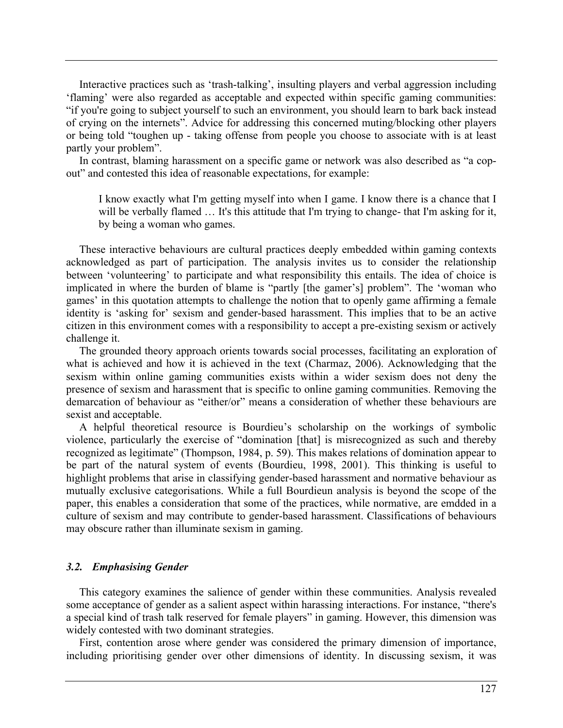Interactive practices such as 'trash-talking', insulting players and verbal aggression including 'flaming' were also regarded as acceptable and expected within specific gaming communities: "if you're going to subject yourself to such an environment, you should learn to bark back instead of crying on the internets". Advice for addressing this concerned muting/blocking other players or being told "toughen up - taking offense from people you choose to associate with is at least partly your problem".

In contrast, blaming harassment on a specific game or network was also described as "a copout" and contested this idea of reasonable expectations, for example:

I know exactly what I'm getting myself into when I game. I know there is a chance that I will be verbally flamed ... It's this attitude that I'm trying to change- that I'm asking for it, by being a woman who games.

These interactive behaviours are cultural practices deeply embedded within gaming contexts acknowledged as part of participation. The analysis invites us to consider the relationship between 'volunteering' to participate and what responsibility this entails. The idea of choice is implicated in where the burden of blame is "partly [the gamer's] problem". The 'woman who games' in this quotation attempts to challenge the notion that to openly game affirming a female identity is 'asking for' sexism and gender-based harassment. This implies that to be an active citizen in this environment comes with a responsibility to accept a pre-existing sexism or actively challenge it.

The grounded theory approach orients towards social processes, facilitating an exploration of what is achieved and how it is achieved in the text (Charmaz, 2006). Acknowledging that the sexism within online gaming communities exists within a wider sexism does not deny the presence of sexism and harassment that is specific to online gaming communities. Removing the demarcation of behaviour as "either/or" means a consideration of whether these behaviours are sexist and acceptable.

A helpful theoretical resource is Bourdieu's scholarship on the workings of symbolic violence, particularly the exercise of "domination [that] is misrecognized as such and thereby recognized as legitimate" (Thompson, 1984, p. 59). This makes relations of domination appear to be part of the natural system of events (Bourdieu, 1998, 2001). This thinking is useful to highlight problems that arise in classifying gender-based harassment and normative behaviour as mutually exclusive categorisations. While a full Bourdieun analysis is beyond the scope of the paper, this enables a consideration that some of the practices, while normative, are emdded in a culture of sexism and may contribute to gender-based harassment. Classifications of behaviours may obscure rather than illuminate sexism in gaming.

#### *3.2. Emphasising Gender*

This category examines the salience of gender within these communities. Analysis revealed some acceptance of gender as a salient aspect within harassing interactions. For instance, "there's a special kind of trash talk reserved for female players" in gaming. However, this dimension was widely contested with two dominant strategies.

First, contention arose where gender was considered the primary dimension of importance, including prioritising gender over other dimensions of identity. In discussing sexism, it was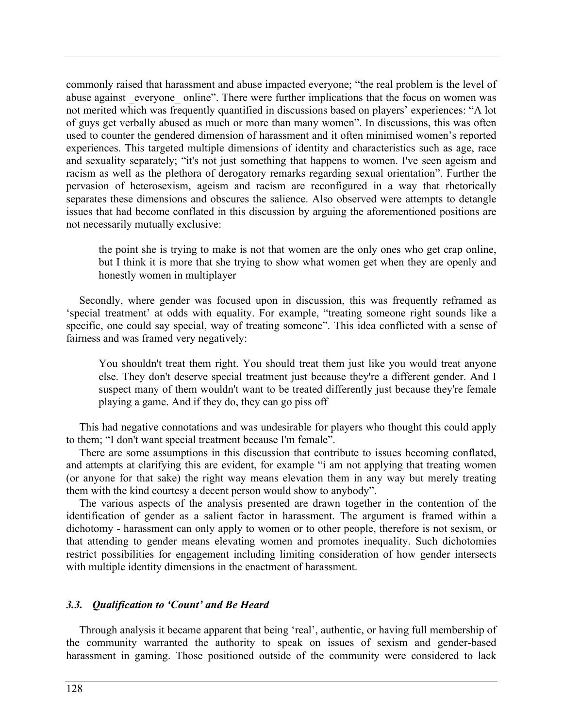commonly raised that harassment and abuse impacted everyone; "the real problem is the level of abuse against everyone online". There were further implications that the focus on women was not merited which was frequently quantified in discussions based on players' experiences: "A lot of guys get verbally abused as much or more than many women". In discussions, this was often used to counter the gendered dimension of harassment and it often minimised women's reported experiences. This targeted multiple dimensions of identity and characteristics such as age, race and sexuality separately; "it's not just something that happens to women. I've seen ageism and racism as well as the plethora of derogatory remarks regarding sexual orientation". Further the pervasion of heterosexism, ageism and racism are reconfigured in a way that rhetorically separates these dimensions and obscures the salience. Also observed were attempts to detangle issues that had become conflated in this discussion by arguing the aforementioned positions are not necessarily mutually exclusive:

the point she is trying to make is not that women are the only ones who get crap online, but I think it is more that she trying to show what women get when they are openly and honestly women in multiplayer

Secondly, where gender was focused upon in discussion, this was frequently reframed as 'special treatment' at odds with equality. For example, "treating someone right sounds like a specific, one could say special, way of treating someone". This idea conflicted with a sense of fairness and was framed very negatively:

You shouldn't treat them right. You should treat them just like you would treat anyone else. They don't deserve special treatment just because they're a different gender. And I suspect many of them wouldn't want to be treated differently just because they're female playing a game. And if they do, they can go piss off

This had negative connotations and was undesirable for players who thought this could apply to them; "I don't want special treatment because I'm female".

There are some assumptions in this discussion that contribute to issues becoming conflated, and attempts at clarifying this are evident, for example "i am not applying that treating women (or anyone for that sake) the right way means elevation them in any way but merely treating them with the kind courtesy a decent person would show to anybody".

The various aspects of the analysis presented are drawn together in the contention of the identification of gender as a salient factor in harassment. The argument is framed within a dichotomy - harassment can only apply to women or to other people, therefore is not sexism, or that attending to gender means elevating women and promotes inequality. Such dichotomies restrict possibilities for engagement including limiting consideration of how gender intersects with multiple identity dimensions in the enactment of harassment.

#### *3.3. Qualification to 'Count' and Be Heard*

Through analysis it became apparent that being 'real', authentic, or having full membership of the community warranted the authority to speak on issues of sexism and gender-based harassment in gaming. Those positioned outside of the community were considered to lack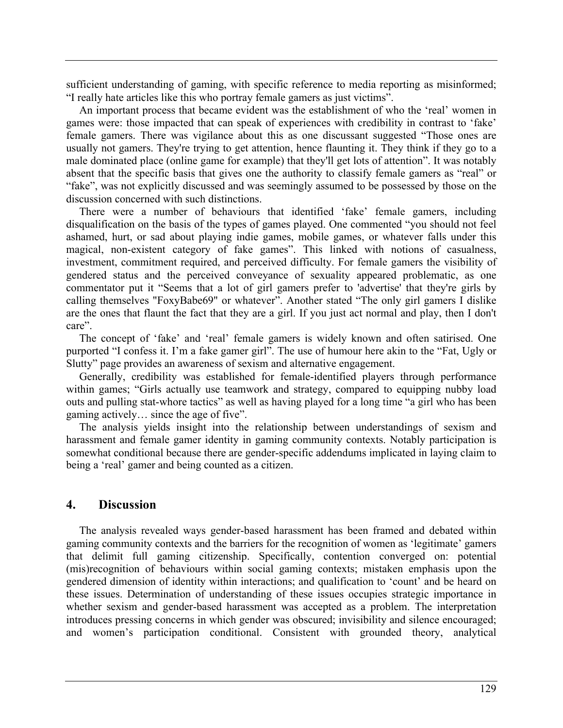sufficient understanding of gaming, with specific reference to media reporting as misinformed; "I really hate articles like this who portray female gamers as just victims".

An important process that became evident was the establishment of who the 'real' women in games were: those impacted that can speak of experiences with credibility in contrast to 'fake' female gamers. There was vigilance about this as one discussant suggested "Those ones are usually not gamers. They're trying to get attention, hence flaunting it. They think if they go to a male dominated place (online game for example) that they'll get lots of attention". It was notably absent that the specific basis that gives one the authority to classify female gamers as "real" or "fake", was not explicitly discussed and was seemingly assumed to be possessed by those on the discussion concerned with such distinctions.

There were a number of behaviours that identified 'fake' female gamers, including disqualification on the basis of the types of games played. One commented "you should not feel ashamed, hurt, or sad about playing indie games, mobile games, or whatever falls under this magical, non-existent category of fake games". This linked with notions of casualness, investment, commitment required, and perceived difficulty. For female gamers the visibility of gendered status and the perceived conveyance of sexuality appeared problematic, as one commentator put it "Seems that a lot of girl gamers prefer to 'advertise' that they're girls by calling themselves "FoxyBabe69" or whatever". Another stated "The only girl gamers I dislike are the ones that flaunt the fact that they are a girl. If you just act normal and play, then I don't care".

The concept of 'fake' and 'real' female gamers is widely known and often satirised. One purported "I confess it. I'm a fake gamer girl". The use of humour here akin to the "Fat, Ugly or Slutty" page provides an awareness of sexism and alternative engagement.

Generally, credibility was established for female-identified players through performance within games; "Girls actually use teamwork and strategy, compared to equipping nubby load outs and pulling stat-whore tactics" as well as having played for a long time "a girl who has been gaming actively… since the age of five".

The analysis yields insight into the relationship between understandings of sexism and harassment and female gamer identity in gaming community contexts. Notably participation is somewhat conditional because there are gender-specific addendums implicated in laying claim to being a 'real' gamer and being counted as a citizen.

# **4. Discussion**

The analysis revealed ways gender-based harassment has been framed and debated within gaming community contexts and the barriers for the recognition of women as 'legitimate' gamers that delimit full gaming citizenship. Specifically, contention converged on: potential (mis)recognition of behaviours within social gaming contexts; mistaken emphasis upon the gendered dimension of identity within interactions; and qualification to 'count' and be heard on these issues. Determination of understanding of these issues occupies strategic importance in whether sexism and gender-based harassment was accepted as a problem. The interpretation introduces pressing concerns in which gender was obscured; invisibility and silence encouraged; and women's participation conditional. Consistent with grounded theory, analytical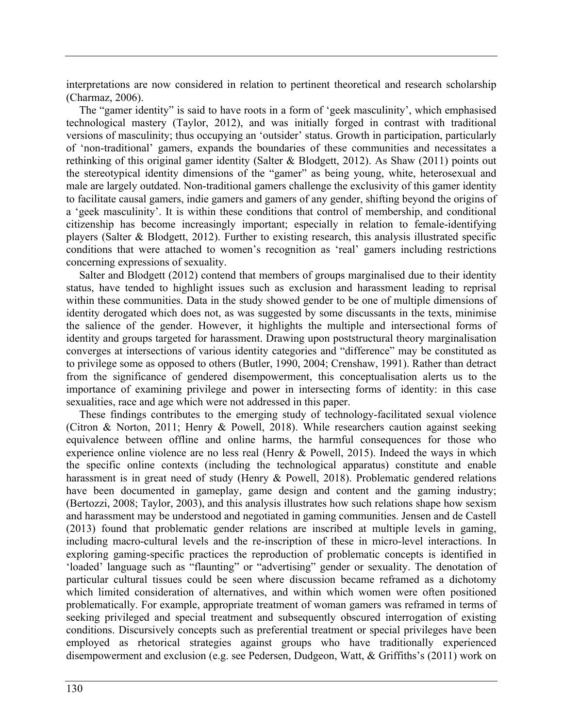interpretations are now considered in relation to pertinent theoretical and research scholarship (Charmaz, 2006).

The "gamer identity" is said to have roots in a form of 'geek masculinity', which emphasised technological mastery (Taylor, 2012), and was initially forged in contrast with traditional versions of masculinity; thus occupying an 'outsider' status. Growth in participation, particularly of 'non-traditional' gamers, expands the boundaries of these communities and necessitates a rethinking of this original gamer identity (Salter & Blodgett, 2012). As Shaw (2011) points out the stereotypical identity dimensions of the "gamer" as being young, white, heterosexual and male are largely outdated. Non-traditional gamers challenge the exclusivity of this gamer identity to facilitate causal gamers, indie gamers and gamers of any gender, shifting beyond the origins of a 'geek masculinity'. It is within these conditions that control of membership, and conditional citizenship has become increasingly important; especially in relation to female-identifying players (Salter & Blodgett, 2012). Further to existing research, this analysis illustrated specific conditions that were attached to women's recognition as 'real' gamers including restrictions concerning expressions of sexuality.

Salter and Blodgett (2012) contend that members of groups marginalised due to their identity status, have tended to highlight issues such as exclusion and harassment leading to reprisal within these communities. Data in the study showed gender to be one of multiple dimensions of identity derogated which does not, as was suggested by some discussants in the texts, minimise the salience of the gender. However, it highlights the multiple and intersectional forms of identity and groups targeted for harassment. Drawing upon poststructural theory marginalisation converges at intersections of various identity categories and "difference" may be constituted as to privilege some as opposed to others (Butler, 1990, 2004; Crenshaw, 1991). Rather than detract from the significance of gendered disempowerment, this conceptualisation alerts us to the importance of examining privilege and power in intersecting forms of identity: in this case sexualities, race and age which were not addressed in this paper.

These findings contributes to the emerging study of technology-facilitated sexual violence (Citron & Norton, 2011; Henry & Powell, 2018). While researchers caution against seeking equivalence between offline and online harms, the harmful consequences for those who experience online violence are no less real (Henry & Powell, 2015). Indeed the ways in which the specific online contexts (including the technological apparatus) constitute and enable harassment is in great need of study (Henry & Powell, 2018). Problematic gendered relations have been documented in gameplay, game design and content and the gaming industry; (Bertozzi, 2008; Taylor, 2003), and this analysis illustrates how such relations shape how sexism and harassment may be understood and negotiated in gaming communities. Jensen and de Castell (2013) found that problematic gender relations are inscribed at multiple levels in gaming, including macro-cultural levels and the re-inscription of these in micro-level interactions. In exploring gaming-specific practices the reproduction of problematic concepts is identified in 'loaded' language such as "flaunting" or "advertising" gender or sexuality. The denotation of particular cultural tissues could be seen where discussion became reframed as a dichotomy which limited consideration of alternatives, and within which women were often positioned problematically. For example, appropriate treatment of woman gamers was reframed in terms of seeking privileged and special treatment and subsequently obscured interrogation of existing conditions. Discursively concepts such as preferential treatment or special privileges have been employed as rhetorical strategies against groups who have traditionally experienced disempowerment and exclusion (e.g. see Pedersen, Dudgeon, Watt, & Griffiths's (2011) work on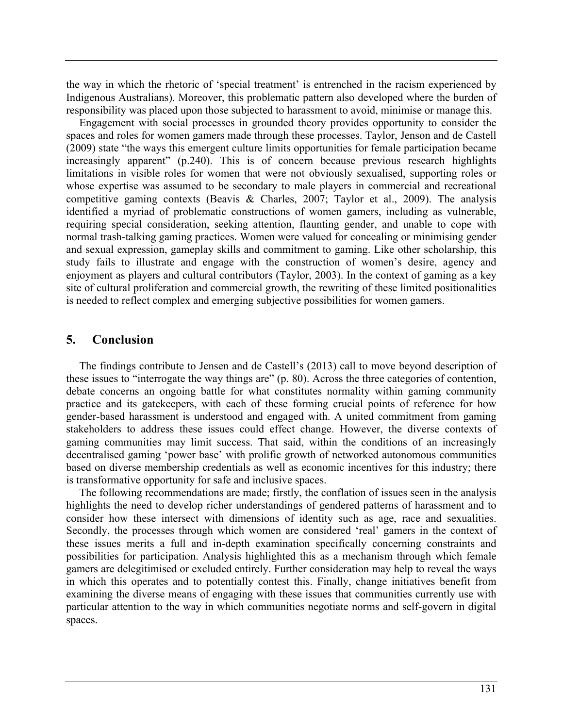the way in which the rhetoric of 'special treatment' is entrenched in the racism experienced by Indigenous Australians). Moreover, this problematic pattern also developed where the burden of responsibility was placed upon those subjected to harassment to avoid, minimise or manage this.

Engagement with social processes in grounded theory provides opportunity to consider the spaces and roles for women gamers made through these processes. Taylor, Jenson and de Castell (2009) state "the ways this emergent culture limits opportunities for female participation became increasingly apparent" (p.240). This is of concern because previous research highlights limitations in visible roles for women that were not obviously sexualised, supporting roles or whose expertise was assumed to be secondary to male players in commercial and recreational competitive gaming contexts (Beavis & Charles, 2007; Taylor et al., 2009). The analysis identified a myriad of problematic constructions of women gamers, including as vulnerable, requiring special consideration, seeking attention, flaunting gender, and unable to cope with normal trash-talking gaming practices. Women were valued for concealing or minimising gender and sexual expression, gameplay skills and commitment to gaming. Like other scholarship, this study fails to illustrate and engage with the construction of women's desire, agency and enjoyment as players and cultural contributors (Taylor, 2003). In the context of gaming as a key site of cultural proliferation and commercial growth, the rewriting of these limited positionalities is needed to reflect complex and emerging subjective possibilities for women gamers.

# **5. Conclusion**

The findings contribute to Jensen and de Castell's (2013) call to move beyond description of these issues to "interrogate the way things are" (p. 80). Across the three categories of contention, debate concerns an ongoing battle for what constitutes normality within gaming community practice and its gatekeepers, with each of these forming crucial points of reference for how gender-based harassment is understood and engaged with. A united commitment from gaming stakeholders to address these issues could effect change. However, the diverse contexts of gaming communities may limit success. That said, within the conditions of an increasingly decentralised gaming 'power base' with prolific growth of networked autonomous communities based on diverse membership credentials as well as economic incentives for this industry; there is transformative opportunity for safe and inclusive spaces.

The following recommendations are made; firstly, the conflation of issues seen in the analysis highlights the need to develop richer understandings of gendered patterns of harassment and to consider how these intersect with dimensions of identity such as age, race and sexualities. Secondly, the processes through which women are considered 'real' gamers in the context of these issues merits a full and in-depth examination specifically concerning constraints and possibilities for participation. Analysis highlighted this as a mechanism through which female gamers are delegitimised or excluded entirely. Further consideration may help to reveal the ways in which this operates and to potentially contest this. Finally, change initiatives benefit from examining the diverse means of engaging with these issues that communities currently use with particular attention to the way in which communities negotiate norms and self-govern in digital spaces.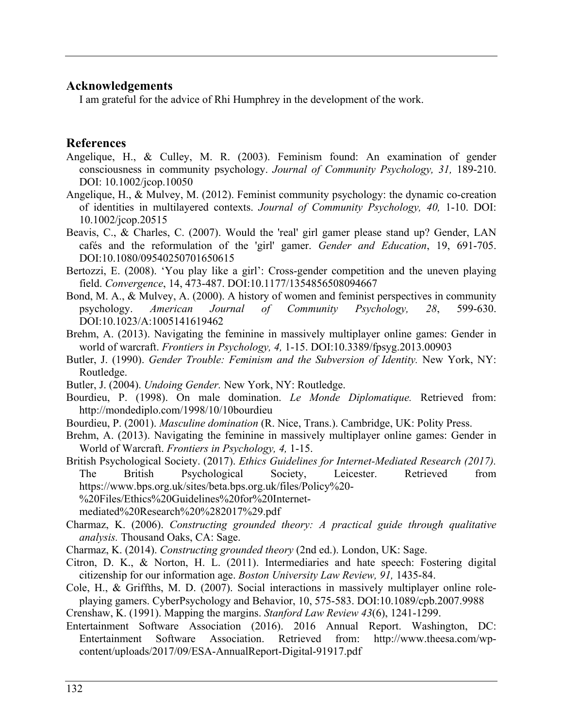## **Acknowledgements**

I am grateful for the advice of Rhi Humphrey in the development of the work.

# **References**

- Angelique, H., & Culley, M. R. (2003). Feminism found: An examination of gender consciousness in community psychology. *Journal of Community Psychology, 31,* 189-210. DOI: 10.1002/jcop.10050
- Angelique, H., & Mulvey, M. (2012). Feminist community psychology: the dynamic co-creation of identities in multilayered contexts. *Journal of Community Psychology, 40,* 1-10. DOI: 10.1002/jcop.20515
- Beavis, C., & Charles, C. (2007). Would the 'real' girl gamer please stand up? Gender, LAN cafés and the reformulation of the 'girl' gamer. *Gender and Education*, 19, 691-705. DOI:10.1080/09540250701650615
- Bertozzi, E. (2008). 'You play like a girl': Cross-gender competition and the uneven playing field. *Convergence*, 14, 473-487. DOI:10.1177/1354856508094667
- Bond, M. A., & Mulvey, A. (2000). A history of women and feminist perspectives in community psychology. *American Journal of Community Psychology, 28*, 599-630. DOI:10.1023/A:1005141619462
- Brehm, A. (2013). Navigating the feminine in massively multiplayer online games: Gender in world of warcraft. *Frontiers in Psychology, 4,* 1-15. DOI:10.3389/fpsyg.2013.00903
- Butler, J. (1990). *Gender Trouble: Feminism and the Subversion of Identity.* New York, NY: Routledge.
- Butler, J. (2004). *Undoing Gender.* New York, NY: Routledge.
- Bourdieu, P. (1998). On male domination. *Le Monde Diplomatique.* Retrieved from: http://mondediplo.com/1998/10/10bourdieu
- Bourdieu, P. (2001). *Masculine domination* (R. Nice, Trans.). Cambridge, UK: Polity Press.
- Brehm, A. (2013). Navigating the feminine in massively multiplayer online games: Gender in World of Warcraft. *Frontiers in Psychology, 4,* 1-15.

British Psychological Society. (2017). *Ethics Guidelines for Internet-Mediated Research (2017).* The British Psychological Society, Leicester. Retrieved from https://www.bps.org.uk/sites/beta.bps.org.uk/files/Policy%20- %20Files/Ethics%20Guidelines%20for%20Internet-

- Charmaz, K. (2006). *Constructing grounded theory: A practical guide through qualitative analysis.* Thousand Oaks, CA: Sage.
- Charmaz, K. (2014). *Constructing grounded theory* (2nd ed.). London, UK: Sage.
- Citron, D. K., & Norton, H. L. (2011). Intermediaries and hate speech: Fostering digital citizenship for our information age. *Boston University Law Review, 91,* 1435-84.
- Cole, H., & Griffths, M. D. (2007). Social interactions in massively multiplayer online roleplaying gamers. CyberPsychology and Behavior, 10, 575-583. DOI:10.1089/cpb.2007.9988
- Crenshaw, K. (1991). Mapping the margins. *Stanford Law Review 43*(6), 1241-1299.
- Entertainment Software Association (2016). 2016 Annual Report. Washington, DC: Entertainment Software Association. Retrieved from: http://www.theesa.com/wpcontent/uploads/2017/09/ESA-AnnualReport-Digital-91917.pdf

mediated%20Research%20%282017%29.pdf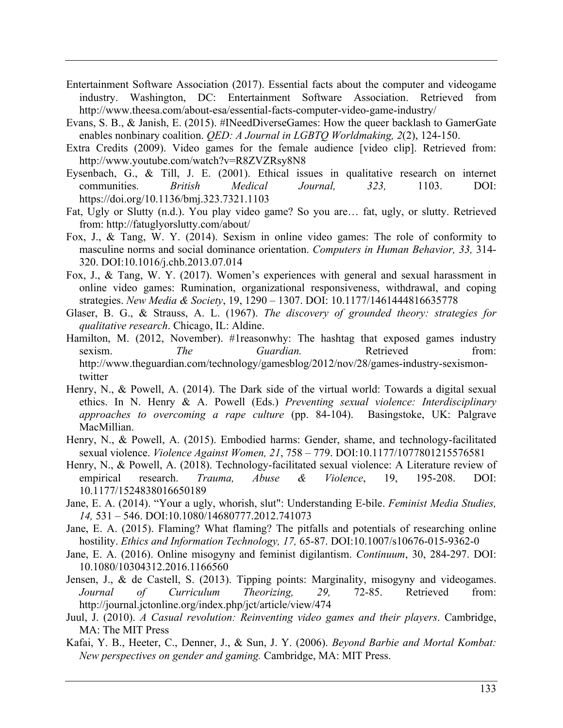- Entertainment Software Association (2017). Essential facts about the computer and videogame industry. Washington, DC: Entertainment Software Association. Retrieved from http://www.theesa.com/about-esa/essential-facts-computer-video-game-industry/
- Evans, S. B., & Janish, E. (2015). #INeedDiverseGames: How the queer backlash to GamerGate enables nonbinary coalition. *QED: A Journal in LGBTQ Worldmaking, 2*(2), 124-150.
- Extra Credits (2009). Video games for the female audience [video clip]. Retrieved from: http://www.youtube.com/watch?v=R8ZVZRsy8N8
- Eysenbach, G., & Till, J. E. (2001). Ethical issues in qualitative research on internet communities. *British Medical Journal, 323,* 1103. DOI: https://doi.org/10.1136/bmj.323.7321.1103
- Fat, Ugly or Slutty (n.d.). You play video game? So you are… fat, ugly, or slutty. Retrieved from: http://fatuglyorslutty.com/about/
- Fox, J., & Tang, W. Y. (2014). Sexism in online video games: The role of conformity to masculine norms and social dominance orientation. *Computers in Human Behavior, 33,* 314- 320. DOI:10.1016/j.chb.2013.07.014
- Fox, J., & Tang, W. Y. (2017). Women's experiences with general and sexual harassment in online video games: Rumination, organizational responsiveness, withdrawal, and coping strategies. *New Media & Society*, 19, 1290 – 1307. DOI: 10.1177/1461444816635778
- Glaser, B. G., & Strauss, A. L. (1967). *The discovery of grounded theory: strategies for qualitative research*. Chicago, IL: Aldine.
- Hamilton, M. (2012, November). #1reasonwhy: The hashtag that exposed games industry sexism. *The Guardian*. Retrieved from: http://www.theguardian.com/technology/gamesblog/2012/nov/28/games-industry-sexismontwitter
- Henry, N., & Powell, A. (2014). The Dark side of the virtual world: Towards a digital sexual ethics. In N. Henry & A. Powell (Eds.) *Preventing sexual violence: Interdisciplinary approaches to overcoming a rape culture* (pp. 84-104). Basingstoke, UK: Palgrave MacMillian.
- Henry, N., & Powell, A. (2015). Embodied harms: Gender, shame, and technology-facilitated sexual violence. *Violence Against Women, 21*, 758 – 779. DOI:10.1177/1077801215576581
- Henry, N., & Powell, A. (2018). Technology-facilitated sexual violence: A Literature review of empirical research. *Trauma, Abuse & Violence*, 19, 195-208. DOI: 10.1177/1524838016650189
- Jane, E. A. (2014). "Your a ugly, whorish, slut": Understanding E-bile. *Feminist Media Studies, 14,* 531 – 546. DOI:10.1080/14680777.2012.741073
- Jane, E. A. (2015). Flaming? What flaming? The pitfalls and potentials of researching online hostility. *Ethics and Information Technology, 17,* 65-87. DOI:10.1007/s10676-015-9362-0
- Jane, E. A. (2016). Online misogyny and feminist digilantism. *Continuum*, 30, 284-297. DOI: 10.1080/10304312.2016.1166560
- Jensen, J., & de Castell, S. (2013). Tipping points: Marginality, misogyny and videogames. *Journal of Curriculum Theorizing, 29,* 72-85. Retrieved from: http://journal.jctonline.org/index.php/jct/article/view/474
- Juul, J. (2010). *A Casual revolution: Reinventing video games and their players*. Cambridge, MA: The MIT Press
- Kafai, Y. B., Heeter, C., Denner, J., & Sun, J. Y. (2006). *Beyond Barbie and Mortal Kombat: New perspectives on gender and gaming.* Cambridge, MA: MIT Press.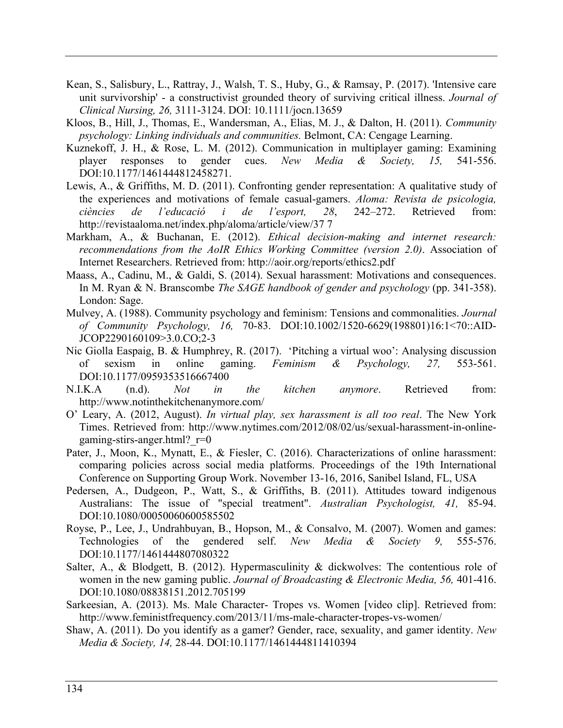- Kean, S., Salisbury, L., Rattray, J., Walsh, T. S., Huby, G., & Ramsay, P. (2017). 'Intensive care unit survivorship' - a constructivist grounded theory of surviving critical illness. *Journal of Clinical Nursing, 26,* 3111-3124. DOI: 10.1111/jocn.13659
- Kloos, B., Hill, J., Thomas, E., Wandersman, A., Elias, M. J., & Dalton, H. (2011). *Community psychology: Linking individuals and communities.* Belmont, CA: Cengage Learning.
- Kuznekoff, J. H., & Rose, L. M. (2012). Communication in multiplayer gaming: Examining player responses to gender cues. *New Media & Society, 15,* 541-556. DOI:10.1177/1461444812458271.
- Lewis, A., & Griffiths, M. D. (2011). Confronting gender representation: A qualitative study of the experiences and motivations of female casual-gamers. *Aloma: Revista de psicologia, ciències de l'educació i de l'esport, 28*, 242–272. Retrieved from: http://revistaaloma.net/index.php/aloma/article/view/37 7
- Markham, A., & Buchanan, E. (2012). *Ethical decision-making and internet research: recommendations from the AoIR Ethics Working Committee (version 2.0)*. Association of Internet Researchers. Retrieved from: http://aoir.org/reports/ethics2.pdf
- Maass, A., Cadinu, M., & Galdi, S. (2014). Sexual harassment: Motivations and consequences. In M. Ryan & N. Branscombe *The SAGE handbook of gender and psychology* (pp. 341-358). London: Sage.
- Mulvey, A. (1988). Community psychology and feminism: Tensions and commonalities. *Journal of Community Psychology, 16,* 70-83. DOI:10.1002/1520-6629(198801)16:1<70::AID-JCOP2290160109>3.0.CO;2-3
- Nic Giolla Easpaig, B. & Humphrey, R. (2017). 'Pitching a virtual woo': Analysing discussion of sexism in online gaming. *Feminism & Psychology, 27,* 553-561. DOI:10.1177/0959353516667400
- N.I.K.A (n.d). *Not in the kitchen anymore*. Retrieved from: http://www.notinthekitchenanymore.com/
- O' Leary, A. (2012, August). *In virtual play, sex harassment is all too real*. The New York Times. Retrieved from: http://www.nytimes.com/2012/08/02/us/sexual-harassment-in-onlinegaming-stirs-anger.html? $r=0$
- Pater, J., Moon, K., Mynatt, E., & Fiesler, C. (2016). Characterizations of online harassment: comparing policies across social media platforms. Proceedings of the 19th International Conference on Supporting Group Work. November 13-16, 2016, Sanibel Island, FL, USA
- Pedersen, A., Dudgeon, P., Watt, S., & Griffiths, B. (2011). Attitudes toward indigenous Australians: The issue of "special treatment". *Australian Psychologist, 41,* 85-94. DOI:10.1080/00050060600585502
- Royse, P., Lee, J., Undrahbuyan, B., Hopson, M., & Consalvo, M. (2007). Women and games: Technologies of the gendered self. *New Media & Society 9,* 555-576. DOI:10.1177/1461444807080322
- Salter, A., & Blodgett, B. (2012). Hypermasculinity & dickwolves: The contentious role of women in the new gaming public. *Journal of Broadcasting & Electronic Media, 56,* 401-416. DOI:10.1080/08838151.2012.705199
- Sarkeesian, A. (2013). Ms. Male Character- Tropes vs. Women [video clip]. Retrieved from: http://www.feministfrequency.com/2013/11/ms-male-character-tropes-vs-women/
- Shaw, A. (2011). Do you identify as a gamer? Gender, race, sexuality, and gamer identity. *New Media & Society, 14,* 28-44. DOI:10.1177/1461444811410394